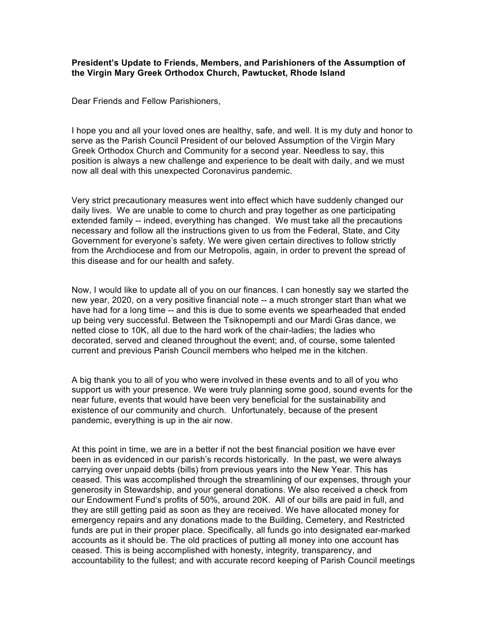## **President's Update to Friends, Members, and Parishioners of the Assumption of the Virgin Mary Greek Orthodox Church, Pawtucket, Rhode Island**

Dear Friends and Fellow Parishioners,

I hope you and all your loved ones are healthy, safe, and well. It is my duty and honor to serve as the Parish Council President of our beloved Assumption of the Virgin Mary Greek Orthodox Church and Community for a second year. Needless to say, this position is always a new challenge and experience to be dealt with daily, and we must now all deal with this unexpected Coronavirus pandemic.

Very strict precautionary measures went into effect which have suddenly changed our daily lives. We are unable to come to church and pray together as one participating extended family -- indeed, everything has changed. We must take all the precautions necessary and follow all the instructions given to us from the Federal, State, and City Government for everyone's safety. We were given certain directives to follow strictly from the Archdiocese and from our Metropolis, again, in order to prevent the spread of this disease and for our health and safety.

Now, I would like to update all of you on our finances. I can honestly say we started the new year, 2020, on a very positive financial note -- a much stronger start than what we have had for a long time -- and this is due to some events we spearheaded that ended up being very successful. Between the Tsiknopempti and our Mardi Gras dance, we netted close to 10K, all due to the hard work of the chair-ladies; the ladies who decorated, served and cleaned throughout the event; and, of course, some talented current and previous Parish Council members who helped me in the kitchen.

A big thank you to all of you who were involved in these events and to all of you who support us with your presence. We were truly planning some good, sound events for the near future, events that would have been very beneficial for the sustainability and existence of our community and church. Unfortunately, because of the present pandemic, everything is up in the air now.

At this point in time, we are in a better if not the best financial position we have ever been in as evidenced in our parish's records historically. In the past, we were always carrying over unpaid debts (bills) from previous years into the New Year. This has ceased. This was accomplished through the streamlining of our expenses, through your generosity in Stewardship, and your general donations. We also received a check from our Endowment Fund's profits of 50%, around 20K. All of our bills are paid in full, and they are still getting paid as soon as they are received. We have allocated money for emergency repairs and any donations made to the Building, Cemetery, and Restricted funds are put in their proper place. Specifically, all funds go into designated ear-marked accounts as it should be. The old practices of putting all money into one account has ceased. This is being accomplished with honesty, integrity, transparency, and accountability to the fullest; and with accurate record keeping of Parish Council meetings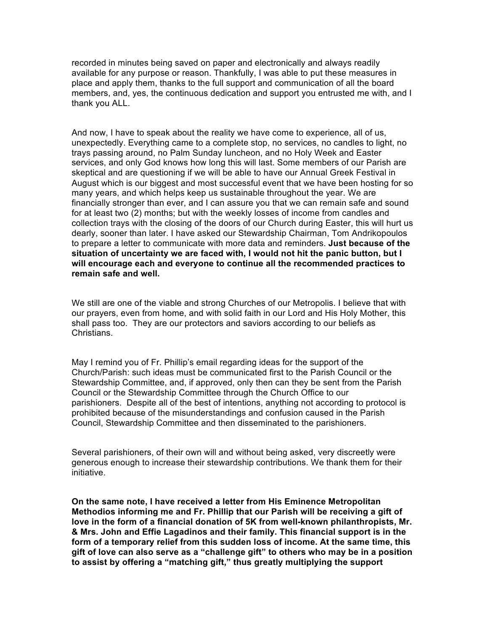recorded in minutes being saved on paper and electronically and always readily available for any purpose or reason. Thankfully, I was able to put these measures in place and apply them, thanks to the full support and communication of all the board members, and, yes, the continuous dedication and support you entrusted me with, and I thank you ALL.

And now, I have to speak about the reality we have come to experience, all of us, unexpectedly. Everything came to a complete stop, no services, no candles to light, no trays passing around, no Palm Sunday luncheon, and no Holy Week and Easter services, and only God knows how long this will last. Some members of our Parish are skeptical and are questioning if we will be able to have our Annual Greek Festival in August which is our biggest and most successful event that we have been hosting for so many years, and which helps keep us sustainable throughout the year. We are financially stronger than ever, and I can assure you that we can remain safe and sound for at least two (2) months; but with the weekly losses of income from candles and collection trays with the closing of the doors of our Church during Easter, this will hurt us dearly, sooner than later. I have asked our Stewardship Chairman, Tom Andrikopoulos to prepare a letter to communicate with more data and reminders. **Just because of the situation of uncertainty we are faced with, I would not hit the panic button, but I will encourage each and everyone to continue all the recommended practices to remain safe and well.**

We still are one of the viable and strong Churches of our Metropolis. I believe that with our prayers, even from home, and with solid faith in our Lord and His Holy Mother, this shall pass too. They are our protectors and saviors according to our beliefs as **Christians** 

May I remind you of Fr. Phillip's email regarding ideas for the support of the Church/Parish: such ideas must be communicated first to the Parish Council or the Stewardship Committee, and, if approved, only then can they be sent from the Parish Council or the Stewardship Committee through the Church Office to our parishioners. Despite all of the best of intentions, anything not according to protocol is prohibited because of the misunderstandings and confusion caused in the Parish Council, Stewardship Committee and then disseminated to the parishioners.

Several parishioners, of their own will and without being asked, very discreetly were generous enough to increase their stewardship contributions. We thank them for their initiative.

**On the same note, I have received a letter from His Eminence Metropolitan Methodios informing me and Fr. Phillip that our Parish will be receiving a gift of love in the form of a financial donation of 5K from well-known philanthropists, Mr. & Mrs. John and Effie Lagadinos and their family. This financial support is in the form of a temporary relief from this sudden loss of income. At the same time, this gift of love can also serve as a "challenge gift" to others who may be in a position to assist by offering a "matching gift," thus greatly multiplying the support**